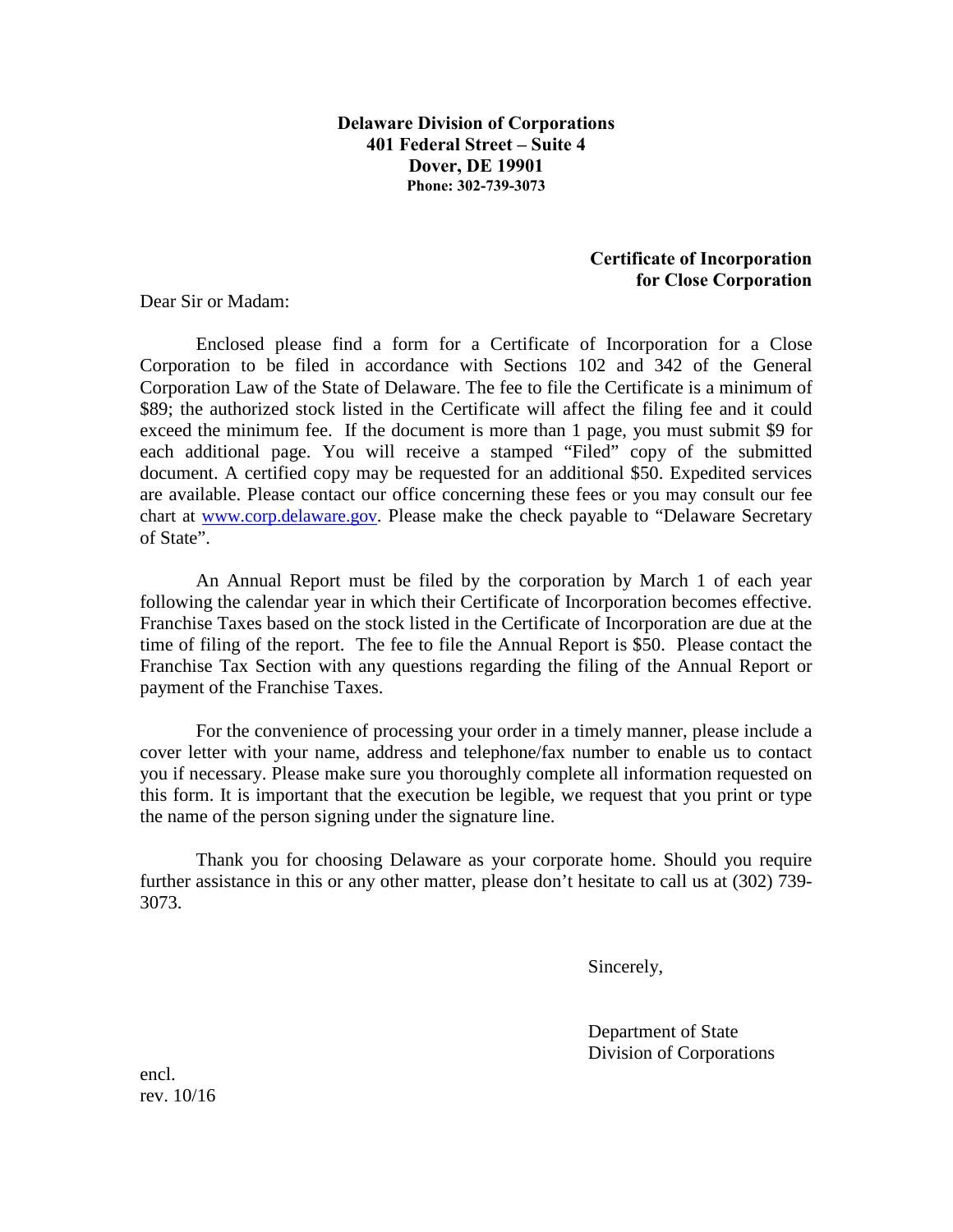**Delaware Division of Corporations 401 Federal Street – Suite 4 Dover, DE 19901 Phone: 302-739-3073** 

## **Certificate of Incorporation for Close Corporation**

Dear Sir or Madam:

Enclosed please find a form for a Certificate of Incorporation for a Close Corporation to be filed in accordance with Sections 102 and 342 of the General Corporation Law of the State of Delaware. The fee to file the Certificate is a minimum of \$89; the authorized stock listed in the Certificate will affect the filing fee and it could exceed the minimum fee. If the document is more than 1 page, you must submit \$9 for each additional page. You will receive a stamped "Filed" copy of the submitted document. A certified copy may be requested for an additional \$50. Expedited services are available. Please contact our office concerning these fees or you may consult our fee chart at [www.corp.delaware.gov.](http://www.corp.delaware.gov/) Please make the check payable to "Delaware Secretary of State".

An Annual Report must be filed by the corporation by March 1 of each year following the calendar year in which their Certificate of Incorporation becomes effective. Franchise Taxes based on the stock listed in the Certificate of Incorporation are due at the time of filing of the report. The fee to file the Annual Report is \$50. Please contact the Franchise Tax Section with any questions regarding the filing of the Annual Report or payment of the Franchise Taxes.

For the convenience of processing your order in a timely manner, please include a cover letter with your name, address and telephone/fax number to enable us to contact you if necessary. Please make sure you thoroughly complete all information requested on this form. It is important that the execution be legible, we request that you print or type the name of the person signing under the signature line.

Thank you for choosing Delaware as your corporate home. Should you require further assistance in this or any other matter, please don't hesitate to call us at (302) 739- 3073.

Sincerely,

Department of State Division of Corporations

encl. rev. 10/16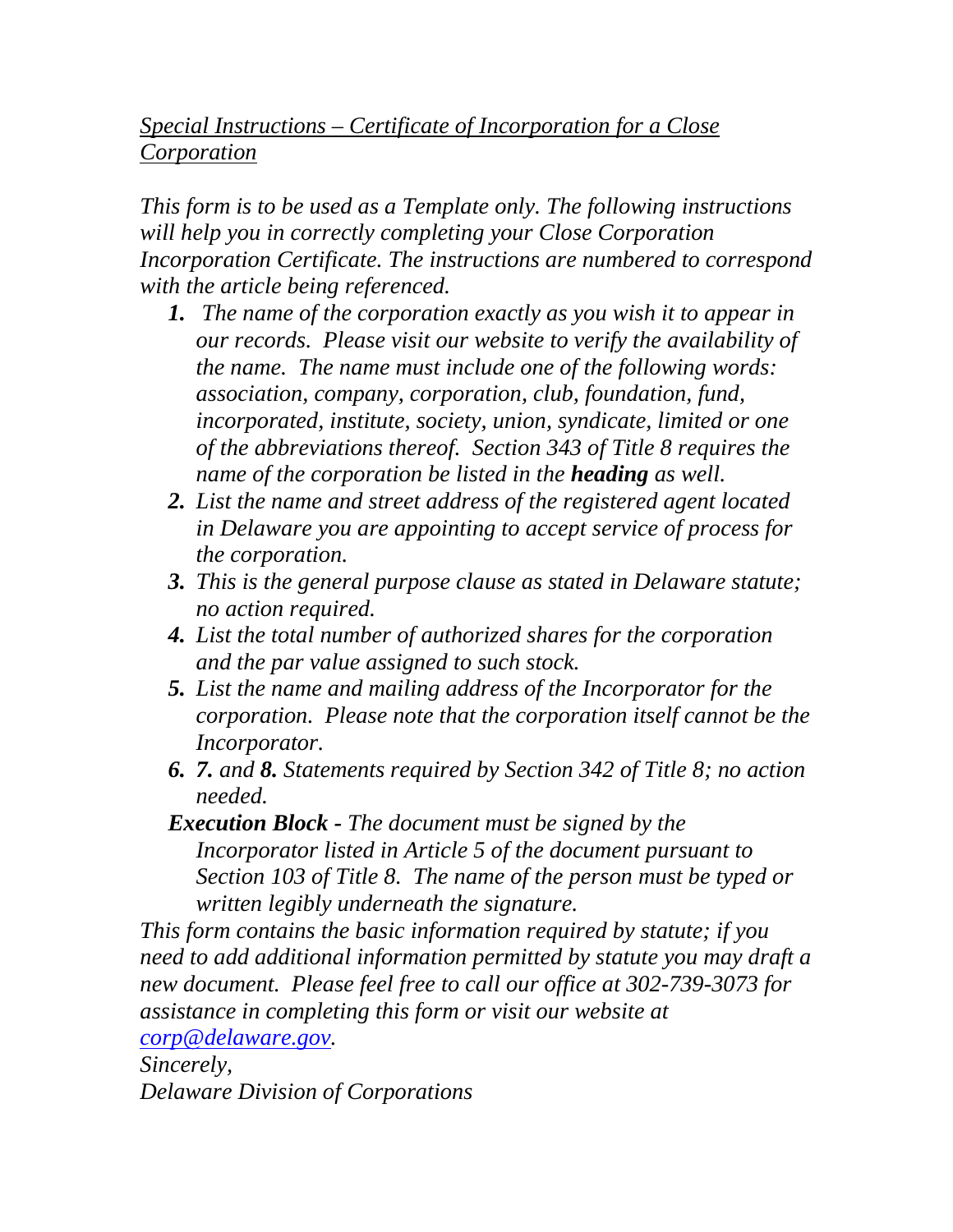## *Special Instructions – Certificate of Incorporation for a Close Corporation*

*This form is to be used as a Template only. The following instructions will help you in correctly completing your Close Corporation Incorporation Certificate. The instructions are numbered to correspond with the article being referenced.* 

- *1. The name of the corporation exactly as you wish it to appear in our records. Please visit our website to verify the availability of the name. The name must include one of the following words: association, company, corporation, club, foundation, fund, incorporated, institute, society, union, syndicate, limited or one of the abbreviations thereof. Section 343 of Title 8 requires the name of the corporation be listed in the heading as well.*
- *2. List the name and street address of the registered agent located in Delaware you are appointing to accept service of process for the corporation.*
- *3. This is the general purpose clause as stated in Delaware statute; no action required.*
- *4. List the total number of authorized shares for the corporation and the par value assigned to such stock.*
- *5. List the name and mailing address of the Incorporator for the corporation. Please note that the corporation itself cannot be the Incorporator.*
- *6. 7. and 8. Statements required by Section 342 of Title 8; no action needed.*
- *Execution Block The document must be signed by the Incorporator listed in Article 5 of the document pursuant to Section 103 of Title 8. The name of the person must be typed or written legibly underneath the signature.*

*This form contains the basic information required by statute; if you need to add additional information permitted by statute you may draft a new document. Please feel free to call our office at 302-739-3073 for assistance in completing this form or visit our website at [corp@delaware.gov.](mailto:corp@delaware.gov)* 

*Sincerely, Delaware Division of Corporations*